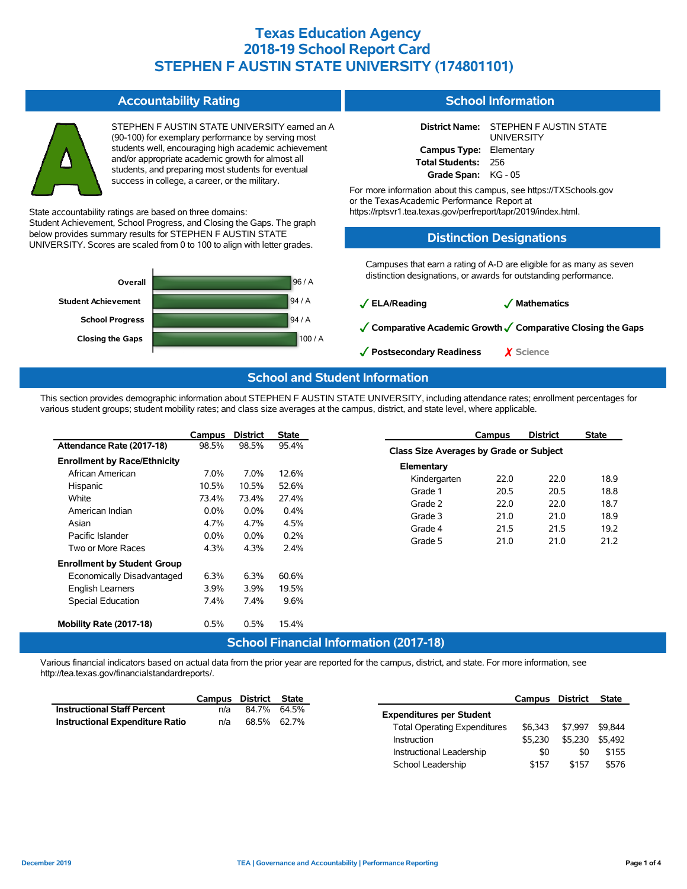| <b>Accountability Rating</b>                                                                                                                                                                                                                                                                                                                                                                                                                                  | <b>School Information</b>                                                                                                                                                                                                                                                                                                                                  |  |  |  |  |
|---------------------------------------------------------------------------------------------------------------------------------------------------------------------------------------------------------------------------------------------------------------------------------------------------------------------------------------------------------------------------------------------------------------------------------------------------------------|------------------------------------------------------------------------------------------------------------------------------------------------------------------------------------------------------------------------------------------------------------------------------------------------------------------------------------------------------------|--|--|--|--|
| STEPHEN F AUSTIN STATE UNIVERSITY earned an A<br>(90-100) for exemplary performance by serving most<br>students well, encouraging high academic achievement<br>and/or appropriate academic growth for almost all<br>students, and preparing most students for eventual<br>success in college, a career, or the military.<br>State accountability ratings are based on three domains:<br>Student Achievement, School Progress, and Closing the Gaps. The graph | <b>District Name:</b><br>STEPHEN F AUSTIN STATE<br><b>UNIVERSITY</b><br><b>Campus Type:</b><br>Elementary<br><b>Total Students:</b><br>256<br>Grade Span:<br>KG - 05<br>For more information about this campus, see https://TXSchools.gov<br>or the Texas Academic Performance Report at<br>https://rptsvr1.tea.texas.gov/perfreport/tapr/2019/index.html. |  |  |  |  |
| below provides summary results for STEPHEN F AUSTIN STATE<br>UNIVERSITY. Scores are scaled from 0 to 100 to align with letter grades.                                                                                                                                                                                                                                                                                                                         | <b>Distinction Designations</b>                                                                                                                                                                                                                                                                                                                            |  |  |  |  |
| 96 / A<br>Overall                                                                                                                                                                                                                                                                                                                                                                                                                                             | Campuses that earn a rating of A-D are eligible for as many as seven<br>distinction designations, or awards for outstanding performance.                                                                                                                                                                                                                   |  |  |  |  |
| 94/A<br><b>Student Achievement</b>                                                                                                                                                                                                                                                                                                                                                                                                                            | $\sqrt{\frac{ELA}{R}}$ eading<br>$\sqrt{\phantom{a}}$ Mathematics                                                                                                                                                                                                                                                                                          |  |  |  |  |
| 94/A<br><b>School Progress</b><br>100/A<br><b>Closing the Gaps</b>                                                                                                                                                                                                                                                                                                                                                                                            | √ Comparative Academic Growth √ Comparative Closing the Gaps<br>✔ Postsecondary Readiness<br>X Science                                                                                                                                                                                                                                                     |  |  |  |  |
| <b>School and Student Information</b>                                                                                                                                                                                                                                                                                                                                                                                                                         |                                                                                                                                                                                                                                                                                                                                                            |  |  |  |  |

This section provides demographic information about STEPHEN F AUSTIN STATE UNIVERSITY, including attendance rates; enrollment percentages for various student groups; student mobility rates; and class size averages at the campus, district, and state level, where applicable.

|                                     | Campus  | <b>District</b> | <b>State</b> |              | Campus                                  | <b>District</b> | <b>State</b> |  |  |
|-------------------------------------|---------|-----------------|--------------|--------------|-----------------------------------------|-----------------|--------------|--|--|
| Attendance Rate (2017-18)           | 98.5%   | 98.5%           | 95.4%        |              | Class Size Averages by Grade or Subject |                 |              |  |  |
| <b>Enrollment by Race/Ethnicity</b> |         |                 |              | Elementary   |                                         |                 |              |  |  |
| African American                    | 7.0%    | 7.0%            | 12.6%        | Kindergarten | 22.0                                    | 22.0            | 18.9         |  |  |
| Hispanic                            | 10.5%   | 10.5%           | 52.6%        | Grade 1      | 20.5                                    | 20.5            | 18.8         |  |  |
| White                               | 73.4%   | 73.4%           | 27.4%        | Grade 2      | 22.0                                    | 22.0            | 18.7         |  |  |
| American Indian                     | $0.0\%$ | $0.0\%$         | 0.4%         | Grade 3      | 21.0                                    | 21.0            | 18.9         |  |  |
| Asian                               | 4.7%    | 4.7%            | 4.5%         | Grade 4      | 21.5                                    | 21.5            | 19.2         |  |  |
| Pacific Islander                    | $0.0\%$ | 0.0%            | 0.2%         | Grade 5      | 21.0                                    | 21.0            | 21.2         |  |  |
| Two or More Races                   | 4.3%    | 4.3%            | 2.4%         |              |                                         |                 |              |  |  |
| <b>Enrollment by Student Group</b>  |         |                 |              |              |                                         |                 |              |  |  |
| Economically Disadvantaged          | 6.3%    | 6.3%            | 60.6%        |              |                                         |                 |              |  |  |
| English Learners                    | 3.9%    | 3.9%            | 19.5%        |              |                                         |                 |              |  |  |
| Special Education                   | 7.4%    | 7.4%            | 9.6%         |              |                                         |                 |              |  |  |
| Mobility Rate (2017-18)             | 0.5%    | 0.5%            | 15.4%        |              |                                         |                 |              |  |  |

#### **School Financial Information (2017-18)**

Various financial indicators based on actual data from the prior year are reported for the campus, district, and state. For more information, see http://tea.texas.gov/financialstandardreports/.

|                                        | Campus District State |             |
|----------------------------------------|-----------------------|-------------|
| <b>Instructional Staff Percent</b>     | n/a                   | 84.7% 64.5% |
| <b>Instructional Expenditure Ratio</b> | n/a                   | 68.5% 62.7% |

|                                     | Campus District |         | <b>State</b> |
|-------------------------------------|-----------------|---------|--------------|
| <b>Expenditures per Student</b>     |                 |         |              |
| <b>Total Operating Expenditures</b> | \$6.343         | \$7.997 | \$9.844      |
| Instruction                         | \$5.230         | \$5.230 | \$5.492      |
| Instructional Leadership            | \$0             | \$0     | \$155        |
| School Leadership                   | \$157           | \$157   | \$576        |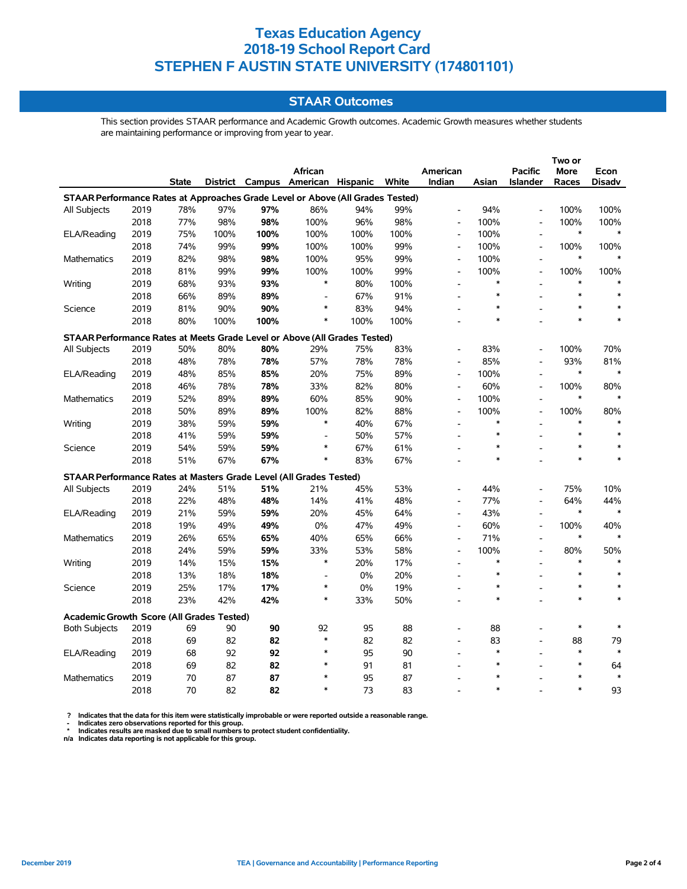### **STAAR Outcomes**

This section provides STAAR performance and Academic Growth outcomes. Academic Growth measures whether students are maintaining performance or improving from year to year.

|                                                                                |      |              |      |      |                                   |      |       |                              |        |                          | Two or      |               |
|--------------------------------------------------------------------------------|------|--------------|------|------|-----------------------------------|------|-------|------------------------------|--------|--------------------------|-------------|---------------|
|                                                                                |      |              |      |      | <b>African</b>                    |      |       | American                     |        | <b>Pacific</b>           | <b>More</b> | Econ          |
|                                                                                |      | <b>State</b> |      |      | District Campus American Hispanic |      | White | Indian                       | Asian  | <b>Islander</b>          | Races       | <b>Disadv</b> |
| STAAR Performance Rates at Approaches Grade Level or Above (All Grades Tested) |      |              |      |      |                                   |      |       |                              |        |                          |             |               |
| <b>All Subjects</b>                                                            | 2019 | 78%          | 97%  | 97%  | 86%                               | 94%  | 99%   | $\overline{a}$               | 94%    | $\overline{a}$           | 100%        | 100%          |
|                                                                                | 2018 | 77%          | 98%  | 98%  | 100%                              | 96%  | 98%   | $\overline{a}$               | 100%   |                          | 100%        | 100%          |
| ELA/Reading                                                                    | 2019 | 75%          | 100% | 100% | 100%                              | 100% | 100%  | $\blacksquare$               | 100%   | $\overline{a}$           | $\ast$      | $\ast$        |
|                                                                                | 2018 | 74%          | 99%  | 99%  | 100%                              | 100% | 99%   | $\qquad \qquad \blacksquare$ | 100%   | $\blacksquare$           | 100%        | 100%          |
| Mathematics                                                                    | 2019 | 82%          | 98%  | 98%  | 100%                              | 95%  | 99%   | $\blacksquare$               | 100%   | $\overline{\phantom{a}}$ | $\ast$      |               |
|                                                                                | 2018 | 81%          | 99%  | 99%  | 100%                              | 100% | 99%   | $\overline{\phantom{a}}$     | 100%   | $\overline{\phantom{a}}$ | 100%        | 100%          |
| Writing                                                                        | 2019 | 68%          | 93%  | 93%  | $\ast$                            | 80%  | 100%  | $\overline{a}$               | $\ast$ |                          | $\ast$      |               |
|                                                                                | 2018 | 66%          | 89%  | 89%  | $\overline{a}$                    | 67%  | 91%   |                              | $\ast$ |                          | $\ast$      |               |
| Science                                                                        | 2019 | 81%          | 90%  | 90%  | $\ast$                            | 83%  | 94%   |                              | $\ast$ |                          | $\ast$      |               |
|                                                                                | 2018 | 80%          | 100% | 100% | $\ast$                            | 100% | 100%  |                              | $\ast$ |                          | $\ast$      |               |
| STAAR Performance Rates at Meets Grade Level or Above (All Grades Tested)      |      |              |      |      |                                   |      |       |                              |        |                          |             |               |
| All Subjects                                                                   | 2019 | 50%          | 80%  | 80%  | 29%                               | 75%  | 83%   | L.                           | 83%    |                          | 100%        | 70%           |
|                                                                                | 2018 | 48%          | 78%  | 78%  | 57%                               | 78%  | 78%   | $\overline{a}$               | 85%    | $\overline{\phantom{a}}$ | 93%         | 81%           |
| ELA/Reading                                                                    | 2019 | 48%          | 85%  | 85%  | 20%                               | 75%  | 89%   | $\overline{a}$               | 100%   | $\overline{a}$           | $\ast$      | $\ast$        |
|                                                                                | 2018 | 46%          | 78%  | 78%  | 33%                               | 82%  | 80%   | $\overline{\phantom{a}}$     | 60%    | $\overline{\phantom{a}}$ | 100%        | 80%           |
| Mathematics                                                                    | 2019 | 52%          | 89%  | 89%  | 60%                               | 85%  | 90%   | $\overline{a}$               | 100%   | $\overline{a}$           | $\ast$      |               |
|                                                                                | 2018 | 50%          | 89%  | 89%  | 100%                              | 82%  | 88%   | $\overline{a}$               | 100%   | $\blacksquare$           | 100%        | 80%           |
| Writing                                                                        | 2019 | 38%          | 59%  | 59%  | $\ast$                            | 40%  | 67%   |                              | $\ast$ |                          | $\ast$      |               |
|                                                                                | 2018 | 41%          | 59%  | 59%  | $\overline{a}$                    | 50%  | 57%   |                              | *      |                          | $\ast$      | $\ast$        |
| Science                                                                        | 2019 | 54%          | 59%  | 59%  | $\ast$                            | 67%  | 61%   |                              | *      |                          | $\ast$      |               |
|                                                                                | 2018 | 51%          | 67%  | 67%  | *                                 | 83%  | 67%   |                              | $\ast$ |                          | $\ast$      | $\ast$        |
| STAAR Performance Rates at Masters Grade Level (All Grades Tested)             |      |              |      |      |                                   |      |       |                              |        |                          |             |               |
| All Subjects                                                                   | 2019 | 24%          | 51%  | 51%  | 21%                               | 45%  | 53%   | L,                           | 44%    | $\blacksquare$           | 75%         | 10%           |
|                                                                                | 2018 | 22%          | 48%  | 48%  | 14%                               | 41%  | 48%   | $\blacksquare$               | 77%    |                          | 64%         | 44%           |
| ELA/Reading                                                                    | 2019 | 21%          | 59%  | 59%  | 20%                               | 45%  | 64%   | $\overline{a}$               | 43%    | $\blacksquare$           | $\ast$      |               |
|                                                                                | 2018 | 19%          | 49%  | 49%  | 0%                                | 47%  | 49%   | $\overline{a}$               | 60%    | $\blacksquare$           | 100%        | 40%           |
| Mathematics                                                                    | 2019 | 26%          | 65%  | 65%  | 40%                               | 65%  | 66%   | $\overline{\phantom{a}}$     | 71%    |                          | $\ast$      |               |
|                                                                                | 2018 | 24%          | 59%  | 59%  | 33%                               | 53%  | 58%   | $\overline{a}$               | 100%   |                          | 80%         | 50%           |
| Writing                                                                        | 2019 | 14%          | 15%  | 15%  | $\ast$                            | 20%  | 17%   | $\overline{\phantom{a}}$     | $\ast$ |                          | $\ast$      |               |
|                                                                                | 2018 | 13%          | 18%  | 18%  | $\overline{\phantom{a}}$          | 0%   | 20%   |                              | $\ast$ |                          | $\ast$      |               |
| Science                                                                        | 2019 | 25%          | 17%  | 17%  | $\ast$                            | 0%   | 19%   |                              | $\ast$ |                          | $\ast$      |               |
|                                                                                | 2018 | 23%          | 42%  | 42%  | $\ast$                            | 33%  | 50%   |                              | $\ast$ |                          | $\ast$      |               |
| <b>Academic Growth Score (All Grades Tested)</b>                               |      |              |      |      |                                   |      |       |                              |        |                          |             |               |
| <b>Both Subjects</b>                                                           | 2019 | 69           | 90   | 90   | 92                                | 95   | 88    |                              | 88     |                          | $\ast$      |               |
|                                                                                | 2018 | 69           | 82   | 82   | $\ast$                            | 82   | 82    | $\overline{a}$               | 83     | $\overline{\phantom{a}}$ | 88          | 79            |
| ELA/Reading                                                                    | 2019 | 68           | 92   | 92   | $\ast$                            | 95   | 90    |                              | $\ast$ |                          | $\ast$      | $\ast$        |
|                                                                                | 2018 | 69           | 82   | 82   | $\ast$                            | 91   | 81    |                              | $\ast$ |                          | $\ast$      | 64            |
| Mathematics                                                                    | 2019 | 70           | 87   | 87   | $\ast$                            | 95   | 87    |                              | $\ast$ |                          | $\ast$      | $\ast$        |
|                                                                                | 2018 | 70           | 82   | 82   | $\ast$                            | 73   | 83    |                              | $\ast$ |                          | $\ast$      | 93            |

? Indicates that the data for this item were statistically improbable or were reported outside a reasonable range.<br>- Indicates zero observations reported for this group.<br>\* Indicates results are masked due to small numbers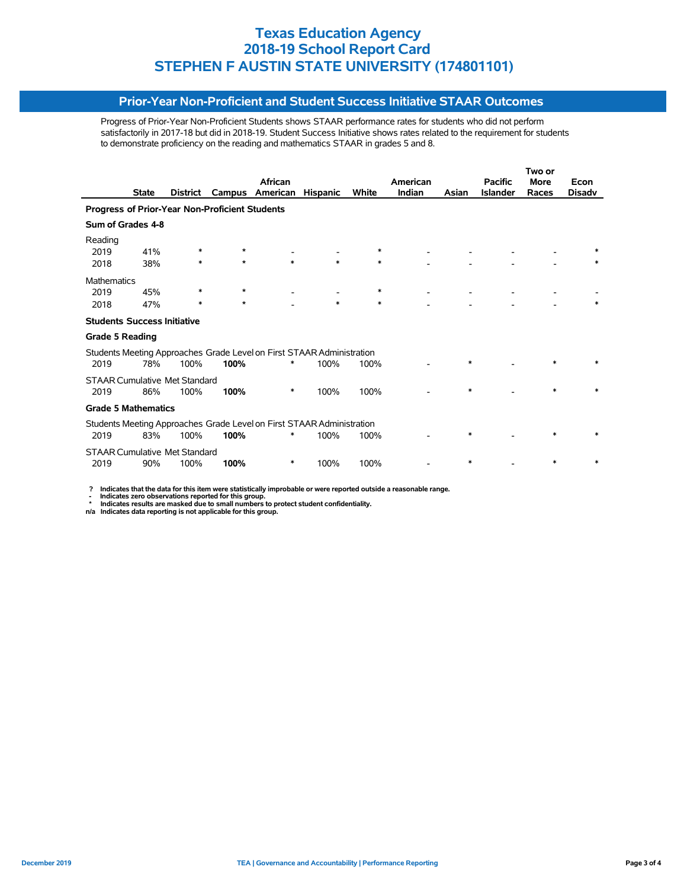#### **Prior-Year Non-Proficient and Student Success Initiative STAAR Outcomes**

Progress of Prior-Year Non-Proficient Students shows STAAR performance rates for students who did not perform satisfactorily in 2017-18 but did in 2018-19. Student Success Initiative shows rates related to the requirement for students to demonstrate proficiency on the reading and mathematics STAAR in grades 5 and 8.

|                                                                       |              |                                      |         |                                                                       |                 |        |          | Two or |                 |             |               |
|-----------------------------------------------------------------------|--------------|--------------------------------------|---------|-----------------------------------------------------------------------|-----------------|--------|----------|--------|-----------------|-------------|---------------|
|                                                                       |              |                                      |         | African                                                               |                 |        | American |        | <b>Pacific</b>  | <b>More</b> | Econ          |
|                                                                       | <b>State</b> | <b>District</b>                      | Campus  | American                                                              | <b>Hispanic</b> | White  | Indian   | Asian  | <b>Islander</b> | Races       | <b>Disady</b> |
| Progress of Prior-Year Non-Proficient Students                        |              |                                      |         |                                                                       |                 |        |          |        |                 |             |               |
| Sum of Grades 4-8                                                     |              |                                      |         |                                                                       |                 |        |          |        |                 |             |               |
| Reading                                                               |              |                                      |         |                                                                       |                 |        |          |        |                 |             |               |
| 2019                                                                  | 41%          |                                      | $\star$ |                                                                       |                 | ∗      |          |        |                 |             |               |
| 2018                                                                  | 38%          | $\ast$                               | $\star$ | *                                                                     | $\ast$          | $\ast$ |          |        |                 |             | $\ast$        |
| <b>Mathematics</b>                                                    |              |                                      |         |                                                                       |                 |        |          |        |                 |             |               |
| 2019                                                                  | 45%          | ∗                                    | $\star$ |                                                                       |                 | ∗      |          |        |                 |             |               |
| 2018                                                                  | 47%          | $\ast$                               | $\star$ |                                                                       | $\ast$          | *      |          |        |                 |             |               |
| <b>Students Success Initiative</b>                                    |              |                                      |         |                                                                       |                 |        |          |        |                 |             |               |
| <b>Grade 5 Reading</b>                                                |              |                                      |         |                                                                       |                 |        |          |        |                 |             |               |
|                                                                       |              |                                      |         | Students Meeting Approaches Grade Level on First STAAR Administration |                 |        |          |        |                 |             |               |
| 2019                                                                  | 78%          | 100%                                 | 100%    | ∗                                                                     | 100%            | 100%   |          | $\ast$ |                 |             |               |
| <b>STAAR Cumulative Met Standard</b>                                  |              |                                      |         |                                                                       |                 |        |          |        |                 |             |               |
| 2019                                                                  | 86%          | 100%                                 | 100%    | ∗                                                                     | 100%            | 100%   |          | $\ast$ |                 | $\ast$      |               |
| <b>Grade 5 Mathematics</b>                                            |              |                                      |         |                                                                       |                 |        |          |        |                 |             |               |
| Students Meeting Approaches Grade Level on First STAAR Administration |              |                                      |         |                                                                       |                 |        |          |        |                 |             |               |
| 2019                                                                  | 83%          | 100%                                 | 100%    | ∗                                                                     | 100%            | 100%   |          | $\ast$ |                 | $\ast$      |               |
|                                                                       |              | <b>STAAR Cumulative Met Standard</b> |         |                                                                       |                 |        |          |        |                 |             |               |
| 2019                                                                  | 90%          | 100%                                 | 100%    | ∗                                                                     | 100%            | 100%   |          | $\ast$ |                 |             |               |

 **? Indicates that the data for this item were statistically improbable or were reported outside a reasonable range.**

 **- Indicates zero observations reported for this group. \* Indicates results are masked due to small numbers to protect student confidentiality.**

**n/a Indicates data reporting is not applicable for this group.**